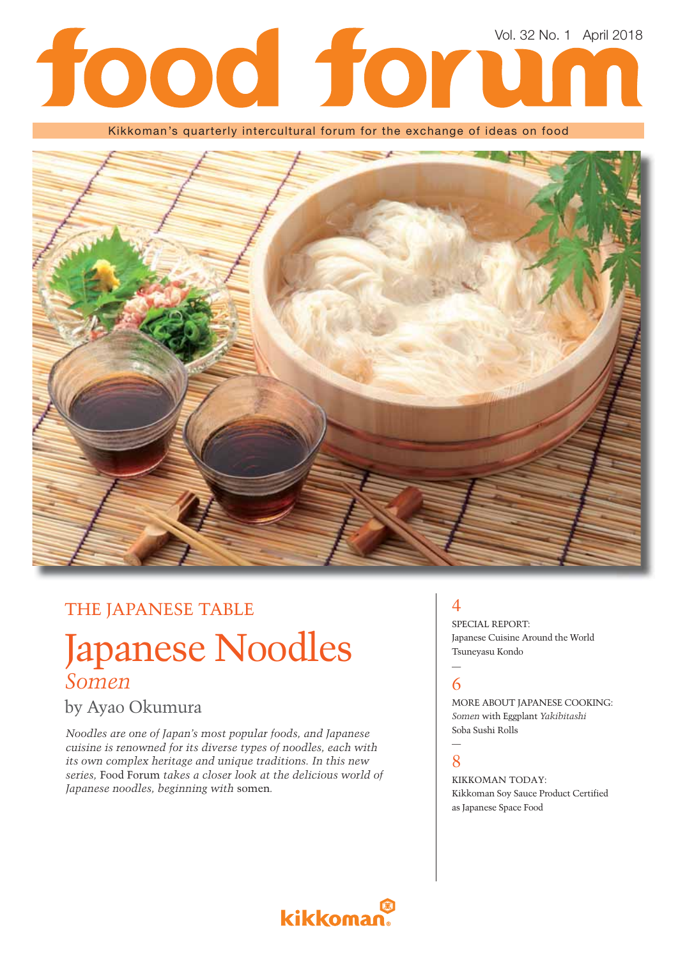# Vol. 32 No. 1 April 2018tood for

Kikkoman's quarterly intercultural forum for the exchange of ideas on food



## THE JAPANESE TABLE

## Japanese Noodles *Somen*

### by Ayao Okumura

*Noodles are one of Japan's most popular foods, and Japanese cuisine is renowned for its diverse types of noodles, each with its own complex heritage and unique traditions. In this new series,* Food Forum *takes a closer look at the delicious world of Japanese noodles, beginning with* somen*.*

## $\boldsymbol{\Delta}$

SPECIAL REPORT: Japanese Cuisine Around the World Tsuneyasu Kondo

#### — 6

MORE ABOUT JAPANESE COOKING: *Somen* with Eggplant *Yakibitashi* Soba Sushi Rolls

#### — 8

KIKKOMAN TODAY: Kikkoman Soy Sauce Product Certified as Japanese Space Food

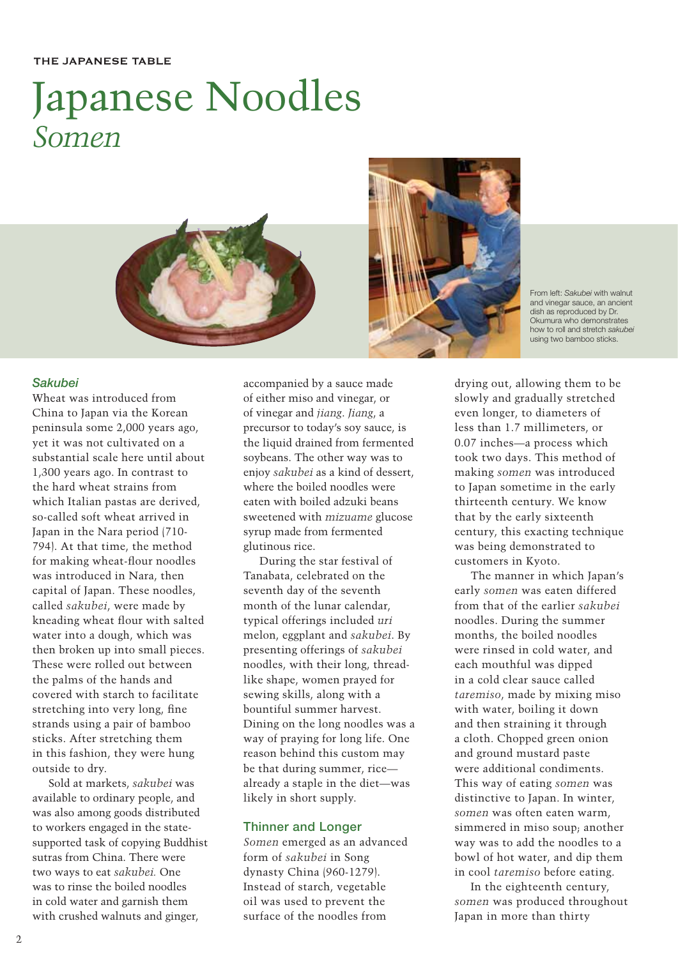## Japanese Noodles *Somen*



From left: *Sakubei* with walnut and vinegar sauce, an ancient dish as reproduced by Dr. Okumura who demonstrates how to roll and stretch *sakubei* using two bamboo sticks.

#### *Sakubei*

Wheat was introduced from China to Japan via the Korean peninsula some 2,000 years ago, yet it was not cultivated on a substantial scale here until about 1,300 years ago. In contrast to the hard wheat strains from which Italian pastas are derived, so-called soft wheat arrived in Japan in the Nara period (710- 794). At that time, the method for making wheat-flour noodles was introduced in Nara, then capital of Japan. These noodles, called *sakubei*, were made by kneading wheat flour with salted water into a dough, which was then broken up into small pieces. These were rolled out between the palms of the hands and covered with starch to facilitate stretching into very long, fine strands using a pair of bamboo sticks. After stretching them in this fashion, they were hung outside to dry.

Sold at markets, *sakubei* was available to ordinary people, and was also among goods distributed to workers engaged in the statesupported task of copying Buddhist sutras from China. There were two ways to eat *sakubei.* One was to rinse the boiled noodles in cold water and garnish them with crushed walnuts and ginger,

accompanied by a sauce made of either miso and vinegar, or of vinegar and *jiang*. *Jiang*, a precursor to today's soy sauce, is the liquid drained from fermented soybeans. The other way was to enjoy *sakubei* as a kind of dessert, where the boiled noodles were eaten with boiled adzuki beans sweetened with *mizuame* glucose syrup made from fermented glutinous rice.

During the star festival of Tanabata, celebrated on the seventh day of the seventh month of the lunar calendar, typical offerings included *uri* melon, eggplant and *sakubei*. By presenting offerings of *sakubei* noodles, with their long, threadlike shape, women prayed for sewing skills, along with a bountiful summer harvest. Dining on the long noodles was a way of praying for long life. One reason behind this custom may be that during summer, rice already a staple in the diet—was likely in short supply.

#### **Thinner and Longer**

*Somen* emerged as an advanced form of *sakubei* in Song dynasty China (960-1279). Instead of starch, vegetable oil was used to prevent the surface of the noodles from

drying out, allowing them to be slowly and gradually stretched even longer, to diameters of less than 1.7 millimeters, or 0.07 inches—a process which took two days. This method of making *somen* was introduced to Japan sometime in the early thirteenth century. We know that by the early sixteenth century, this exacting technique was being demonstrated to customers in Kyoto.

The manner in which Japan's early *somen* was eaten differed from that of the earlier *sakubei* noodles. During the summer months, the boiled noodles were rinsed in cold water, and each mouthful was dipped in a cold clear sauce called *taremiso*, made by mixing miso with water, boiling it down and then straining it through a cloth. Chopped green onion and ground mustard paste were additional condiments. This way of eating *somen* was distinctive to Japan. In winter, *somen* was often eaten warm, simmered in miso soup; another way was to add the noodles to a bowl of hot water, and dip them in cool *taremiso* before eating.

In the eighteenth century, *somen* was produced throughout Japan in more than thirty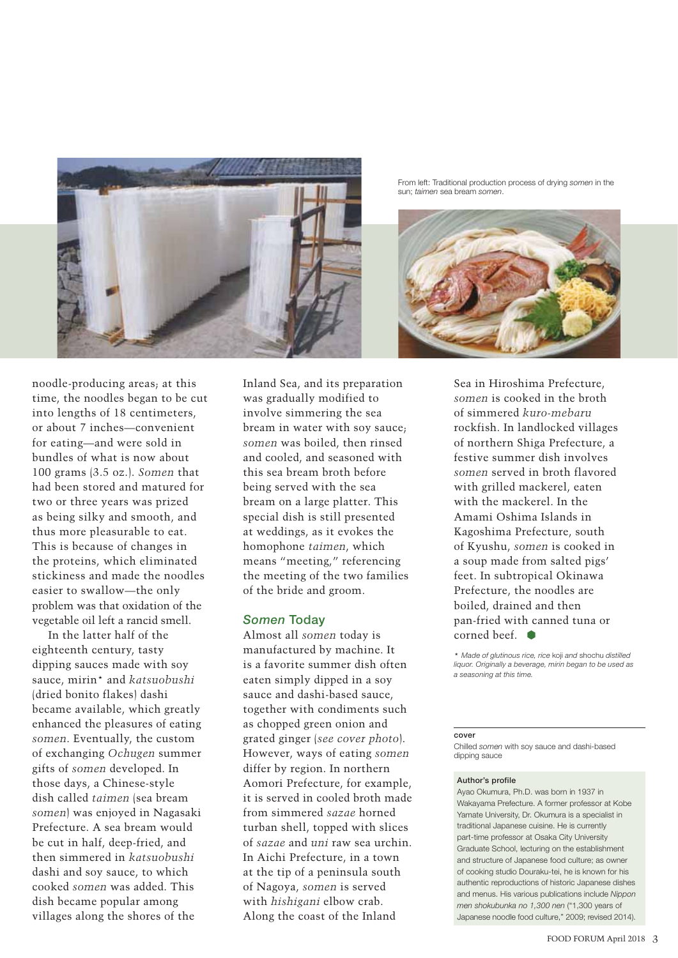

From left: Traditional production process of drying *somen* in the sun; *taimen* sea bream *somen*.



noodle-producing areas; at this time, the noodles began to be cut into lengths of 18 centimeters, or about 7 inches—convenient for eating—and were sold in bundles of what is now about 100 grams (3.5 oz.). *Somen* that had been stored and matured for two or three years was prized as being silky and smooth, and thus more pleasurable to eat. This is because of changes in the proteins, which eliminated stickiness and made the noodles easier to swallow—the only problem was that oxidation of the vegetable oil left a rancid smell.

In the latter half of the eighteenth century, tasty dipping sauces made with soy sauce, mirin\* and *katsuobushi* (dried bonito flakes) dashi became available, which greatly enhanced the pleasures of eating *somen*. Eventually, the custom of exchanging *Ochugen* summer gifts of *somen* developed. In those days, a Chinese-style dish called *taimen* (sea bream *somen*) was enjoyed in Nagasaki Prefecture. A sea bream would be cut in half, deep-fried, and then simmered in *katsuobushi* dashi and soy sauce, to which cooked *somen* was added. This dish became popular among villages along the shores of the

Inland Sea, and its preparation was gradually modified to involve simmering the sea bream in water with soy sauce; *somen* was boiled, then rinsed and cooled, and seasoned with this sea bream broth before being served with the sea bream on a large platter. This special dish is still presented at weddings, as it evokes the homophone *taimen*, which means "meeting," referencing the meeting of the two families of the bride and groom.

#### *Somen* **Today**

Almost all *somen* today is manufactured by machine. It is a favorite summer dish often eaten simply dipped in a soy sauce and dashi-based sauce, together with condiments such as chopped green onion and grated ginger (*see cover photo*). However, ways of eating *somen* differ by region. In northern Aomori Prefecture, for example, it is served in cooled broth made from simmered *sazae* horned turban shell, topped with slices of *sazae* and *uni* raw sea urchin. In Aichi Prefecture, in a town at the tip of a peninsula south of Nagoya, *somen* is served with *hishigani* elbow crab. Along the coast of the Inland

Sea in Hiroshima Prefecture, *somen* is cooked in the broth of simmered *kuro-mebaru* rockfish. In landlocked villages of northern Shiga Prefecture, a festive summer dish involves *somen* served in broth flavored with grilled mackerel, eaten with the mackerel. In the Amami Oshima Islands in Kagoshima Prefecture, south of Kyushu, *somen* is cooked in a soup made from salted pigs' feet. In subtropical Okinawa Prefecture, the noodles are boiled, drained and then pan-fried with canned tuna or corned beef.

\* *Made of glutinous rice, rice* koji *and* shochu *distilled liquor. Originally a beverage, mirin began to be used as a seasoning at this time.*

#### **cover**

Chilled *somen* with soy sauce and dashi-based dipping sauce

#### **Author's profile**

Ayao Okumura, Ph.D. was born in 1937 in Wakayama Prefecture. A former professor at Kobe Yamate University, Dr. Okumura is a specialist in traditional Japanese cuisine. He is currently part-time professor at Osaka City University Graduate School, lecturing on the establishment and structure of Japanese food culture; as owner of cooking studio Douraku-tei, he is known for his authentic reproductions of historic Japanese dishes and menus. His various publications include *Nippon men shokubunka no 1,300 nen* ("1,300 years of Japanese noodle food culture," 2009; revised 2014).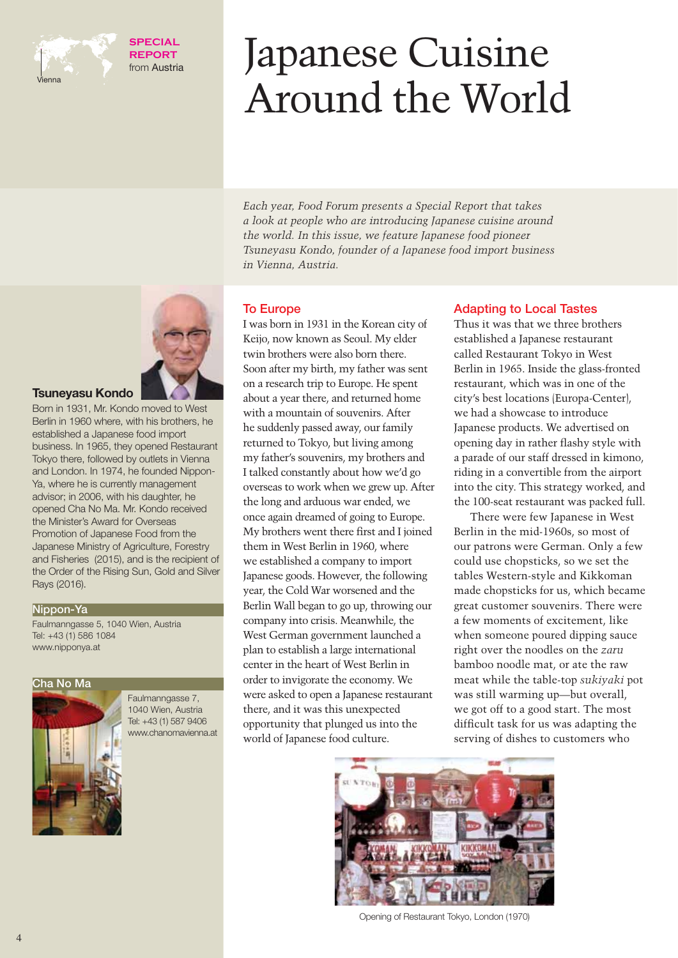

**SPECIAL REPORT** from Austria

# Japanese Cuisine Around the World

*Each year, Food Forum presents a Special Report that takes a look at people who are introducing Japanese cuisine around the world. In this issue, we feature Japanese food pioneer Tsuneyasu Kondo, founder of a Japanese food import business in Vienna, Austria.* 

#### **To Europe**

I was born in 1931 in the Korean city of Keijo, now known as Seoul. My elder twin brothers were also born there. Soon after my birth, my father was sent on a research trip to Europe. He spent about a year there, and returned home with a mountain of souvenirs. After he suddenly passed away, our family returned to Tokyo, but living among my father's souvenirs, my brothers and I talked constantly about how we'd go overseas to work when we grew up. After the long and arduous war ended, we once again dreamed of going to Europe. My brothers went there first and I joined them in West Berlin in 1960, where we established a company to import Japanese goods. However, the following year, the Cold War worsened and the Berlin Wall began to go up, throwing our company into crisis. Meanwhile, the West German government launched a plan to establish a large international center in the heart of West Berlin in order to invigorate the economy. We were asked to open a Japanese restaurant there, and it was this unexpected opportunity that plunged us into the world of Japanese food culture.

#### **Adapting to Local Tastes**

Thus it was that we three brothers established a Japanese restaurant called Restaurant Tokyo in West Berlin in 1965. Inside the glass-fronted restaurant, which was in one of the city's best locations (Europa-Center), we had a showcase to introduce Japanese products. We advertised on opening day in rather flashy style with a parade of our staff dressed in kimono, riding in a convertible from the airport into the city. This strategy worked, and the 100-seat restaurant was packed full.

There were few Japanese in West Berlin in the mid-1960s, so most of our patrons were German. Only a few could use chopsticks, so we set the tables Western-style and Kikkoman made chopsticks for us, which became great customer souvenirs. There were a few moments of excitement, like when someone poured dipping sauce right over the noodles on the *zaru* bamboo noodle mat, or ate the raw meat while the table-top *sukiyaki* pot was still warming up—but overall, we got off to a good start. The most difficult task for us was adapting the serving of dishes to customers who



Opening of Restaurant Tokyo, London (1970)



#### **Tsuneyasu Kondo**

Born in 1931, Mr. Kondo moved to West Berlin in 1960 where, with his brothers, he established a Japanese food import business. In 1965, they opened Restaurant Tokyo there, followed by outlets in Vienna and London. In 1974, he founded Nippon-Ya, where he is currently management advisor; in 2006, with his daughter, he opened Cha No Ma. Mr. Kondo received the Minister's Award for Overseas Promotion of Japanese Food from the Japanese Ministry of Agriculture, Forestry and Fisheries (2015), and is the recipient of the Order of the Rising Sun, Gold and Silver Rays (2016).

#### **Nippon-Ya**

Faulmanngasse 5, 1040 Wien, Austria Tel: +43 (1) 586 1084 www.nipponya.at

#### **Cha No Ma**



Faulmanngasse 7, 1040 Wien, Austria Tel: +43 (1) 587 9406 www.chanomavienna.at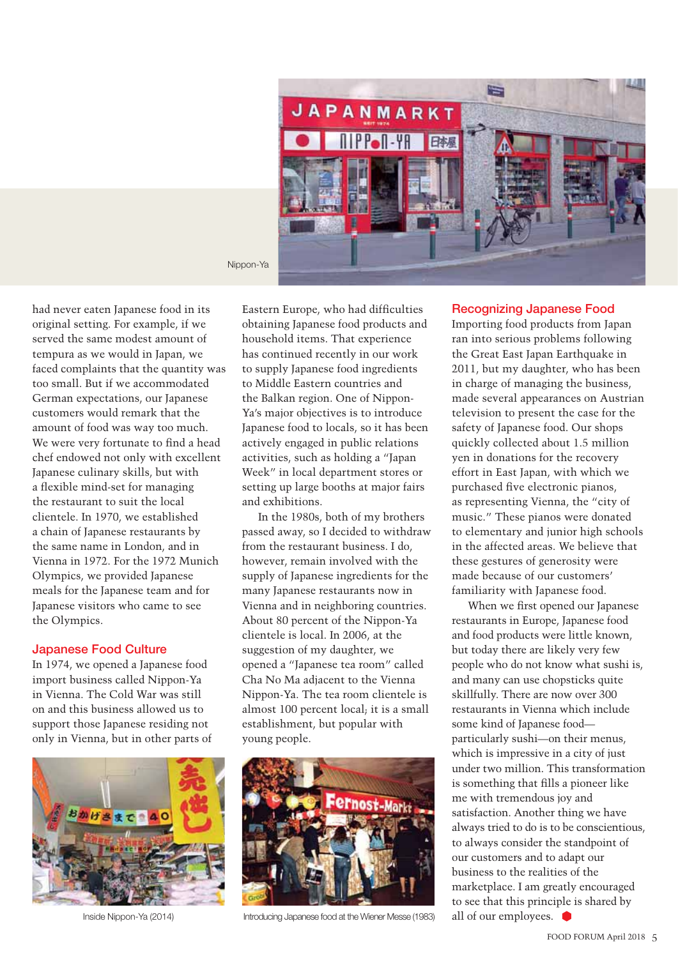

Nippon-Ya

had never eaten Japanese food in its original setting. For example, if we served the same modest amount of tempura as we would in Japan, we faced complaints that the quantity was too small. But if we accommodated German expectations, our Japanese customers would remark that the amount of food was way too much. We were very fortunate to find a head chef endowed not only with excellent Japanese culinary skills, but with a flexible mind-set for managing the restaurant to suit the local clientele. In 1970, we established a chain of Japanese restaurants by the same name in London, and in Vienna in 1972. For the 1972 Munich Olympics, we provided Japanese meals for the Japanese team and for Japanese visitors who came to see the Olympics.

#### **Japanese Food Culture**

In 1974, we opened a Japanese food import business called Nippon-Ya in Vienna. The Cold War was still on and this business allowed us to support those Japanese residing not only in Vienna, but in other parts of



Eastern Europe, who had difficulties obtaining Japanese food products and household items. That experience has continued recently in our work to supply Japanese food ingredients to Middle Eastern countries and the Balkan region. One of Nippon-Ya's major objectives is to introduce Japanese food to locals, so it has been actively engaged in public relations activities, such as holding a "Japan Week" in local department stores or setting up large booths at major fairs and exhibitions.

In the 1980s, both of my brothers passed away, so I decided to withdraw from the restaurant business. I do, however, remain involved with the supply of Japanese ingredients for the many Japanese restaurants now in Vienna and in neighboring countries. About 80 percent of the Nippon-Ya clientele is local. In 2006, at the suggestion of my daughter, we opened a "Japanese tea room" called Cha No Ma adjacent to the Vienna Nippon-Ya. The tea room clientele is almost 100 percent local; it is a small establishment, but popular with young people.



Inside Nippon-Ya (2014) Introducing Japanese food at the Wiener Messe (1983)

#### **Recognizing Japanese Food**

Importing food products from Japan ran into serious problems following the Great East Japan Earthquake in 2011, but my daughter, who has been in charge of managing the business, made several appearances on Austrian television to present the case for the safety of Japanese food. Our shops quickly collected about 1.5 million yen in donations for the recovery effort in East Japan, with which we purchased five electronic pianos, as representing Vienna, the "city of music." These pianos were donated to elementary and junior high schools in the affected areas. We believe that these gestures of generosity were made because of our customers' familiarity with Japanese food.

When we first opened our Japanese restaurants in Europe, Japanese food and food products were little known, but today there are likely very few people who do not know what sushi is, and many can use chopsticks quite skillfully. There are now over 300 restaurants in Vienna which include some kind of Japanese food particularly sushi—on their menus, which is impressive in a city of just under two million. This transformation is something that fills a pioneer like me with tremendous joy and satisfaction. Another thing we have always tried to do is to be conscientious, to always consider the standpoint of our customers and to adapt our business to the realities of the marketplace. I am greatly encouraged to see that this principle is shared by all of our employees.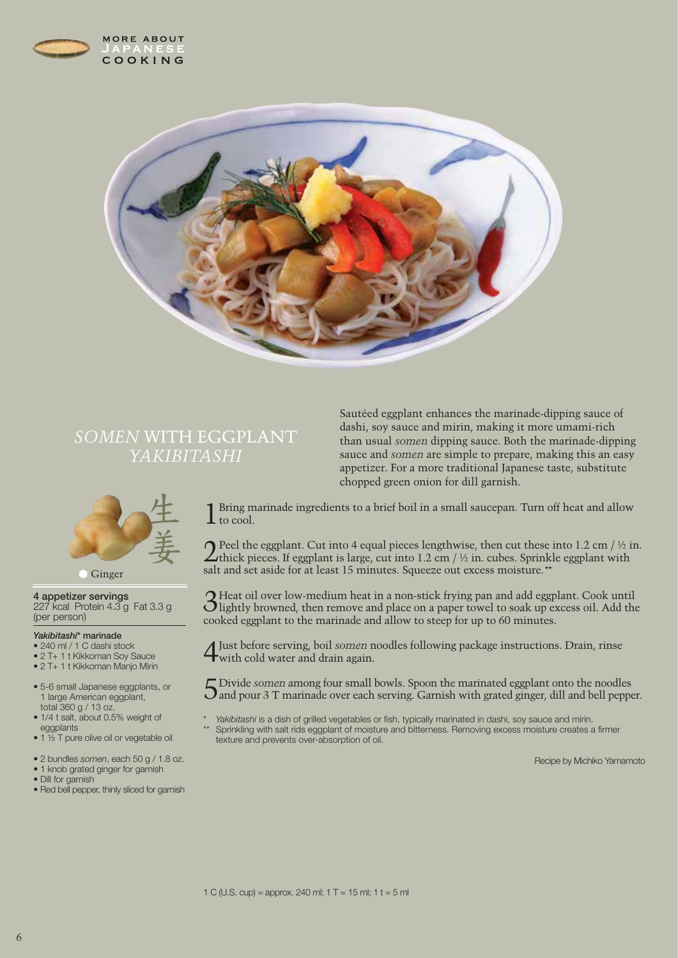



## *SOMEN* WITH EGGPLANT *YAKIBITASHI*



#### **Ginger**

**4 appetizer servings** 227 kcal Protein 4.3 g Fat 3.3 g (per person)

#### *Yakibitashi***\* marinade**

- 240 ml / 1 C dashi stock
- 2 T+ 1 t Kikkoman Soy Sauce
- 2 T+ 1 t Kikkoman Manjo Mirin
- 5-6 small Japanese eggplants, or 1 large American eggplant, total 360 g / 13 oz.
- 1/4 t salt, about 0.5% weight of eggplants
- 1 1/2 T pure olive oil or vegetable oil
- 2 bundles *somen*, each 50 g / 1.8 oz.
- 1 knob grated ginger for garnish
- Dill for garnish
- Red bell pepper, thinly sliced for garnish

Sautéed eggplant enhances the marinade-dipping sauce of dashi, soy sauce and mirin, making it more umami-rich than usual *somen* dipping sauce. Both the marinade-dipping sauce and *somen* are simple to prepare, making this an easy appetizer. For a more traditional Japanese taste, substitute chopped green onion for dill garnish.

1 Bring marinade ingredients to a brief boil in a small saucepan. Turn off heat and allow  $\perp$  to cool.

**2** Peel the eggplant. Cut into 4 equal pieces lengthwise, then cut these into 1.2 cm / ½ in. thick pieces. If eggplant is large, cut into 1.2 cm / ½ in. cubes. Sprinkle eggplant with salt and set aside for at least 15 minutes. Squeeze out excess moisture.\*\*

3Heat oil over low-medium heat in a non-stick frying pan and add eggplant. Cook until lightly browned, then remove and place on a paper towel to soak up excess oil. Add the cooked eggplant to the marinade and allow to steep for up to 60 minutes.

4Just before serving, boil *somen* noodles following package instructions. Drain, rinse with cold water and drain again.

5Divide *somen* among four small bowls. Spoon the marinated eggplant onto the noodles  $\mathbf{J}$  and pour 3 T marinade over each serving. Garnish with grated ginger, dill and bell pepper.

- Yakibitashi is a dish of grilled vegetables or fish, typically marinated in dashi, soy sauce and mirin.
- Sprinkling with salt rids eggplant of moisture and bitterness. Removing excess moisture creates a firmer texture and prevents over-absorption of oil.

Recipe by Michiko Yamamoto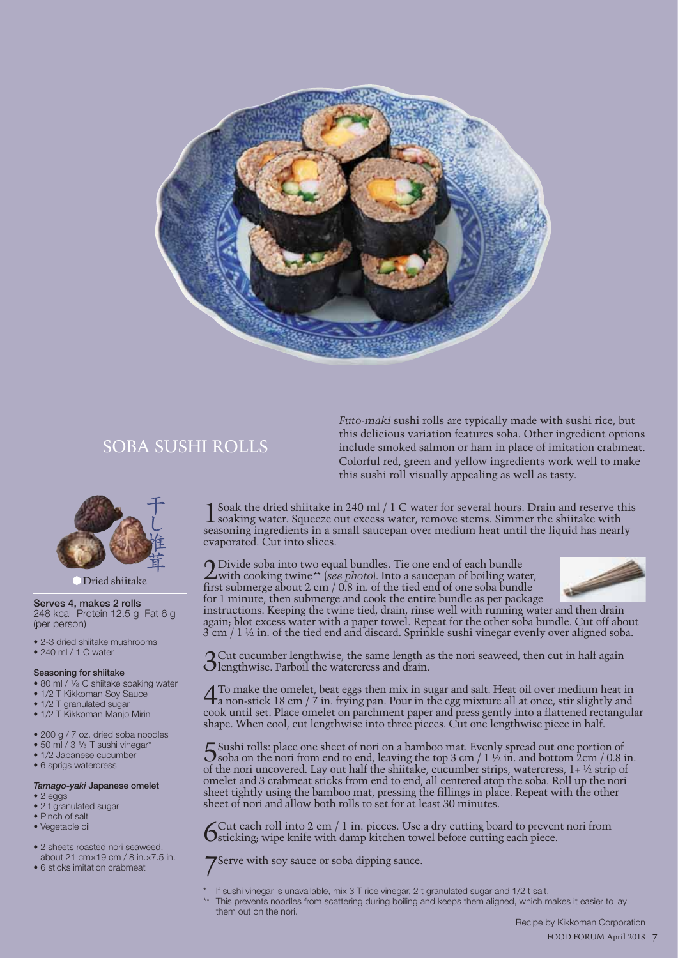

## SOBA SUSHI ROLLS



#### Dried shiitake

**Serves 4, makes 2 rolls** 248 kcal Protein 12.5 g Fat 6 g (per person)

• 2-3 dried shiitake mushrooms • 240 ml / 1 C water

#### **Seasoning for shiitake**

- 80 ml / 1/<sub>3</sub> C shiitake soaking water
- 1/2 T Kikkoman Soy Sauce
- 1/2 T granulated sugar
- 1/2 T Kikkoman Manjo Mirin
- 200 g / 7 oz. dried soba noodles
- $\bullet$  50 ml / 3  $\frac{1}{3}$  T sushi vinegar\*
- 1/2 Japanese cucumber
- 6 sprigs watercress

#### *Tamago-yaki* **Japanese omelet** • 2 eggs

- 2 t granulated sugar
- Pinch of salt
- Vegetable oil
- 
- 2 sheets roasted nori seaweed,
- about 21 cm×19 cm / 8 in.×7.5 in. • 6 sticks imitation crabmeat
- 

*Futo-maki* sushi rolls are typically made with sushi rice, but this delicious variation features soba. Other ingredient options include smoked salmon or ham in place of imitation crabmeat. Colorful red, green and yellow ingredients work well to make this sushi roll visually appealing as well as tasty.

Soak the dried shiitake in 240 ml / 1 C water for several hours. Drain and reserve this soaking water. Squeeze out excess water, remove stems. Simmer the shiitake with seasoning ingredients in a small saucepan over medium heat until the liquid has nearly evaporated. Cut into slices.

2Divide soba into two equal bundles. Tie one end of each bundle with cooking twine\*\* (*see photo*). Into a saucepan of boiling water, first submerge about 2 cm  $/$  0.8 in. of the tied end of one soba bundle for 1 minute, then submerge and cook the entire bundle as per package



instructions. Keeping the twine tied, drain, rinse well with running water and then drain again; blot excess water with a paper towel. Repeat for the other soba bundle. Cut off about  $3 \text{ cm}$  / 1 ½ in. of the tied end and discard. Sprinkle sushi vinegar evenly over aligned soba.

3Cut cucumber lengthwise, the same length as the nori seaweed, then cut in half again **Olengthwise. Parboil the watercress and drain.** 

4To make the omelet, beat eggs then mix in sugar and salt. Heat oil over medium heat in a non-stick 18 cm / 7 in. frying pan. Pour in the egg mixture all at once, stir slightly and cook until set. Place omelet on parchment paper and press gently into a flattened rectangular shape. When cool, cut lengthwise into three pieces. Cut one lengthwise piece in half.

Sushi rolls: place one sheet of nori on a bamboo mat. Evenly spread out one portion of Soba on the nori from end to end, leaving the top 3 cm / 1 ½ in. and bottom 2cm / 0.8 in. of the nori uncovered. Lay out half the shiitake, cucumber strips, watercress,  $1 + \frac{1}{2}$  strip of omelet and 3 crabmeat sticks from end to end, all centered atop the soba. Roll up the nori sheet tightly using the bamboo mat, pressing the fillings in place. Repeat with the other sheet of nori and allow both rolls to set for at least 30 minutes.

6 Cut each roll into 2 cm / 1 in. pieces. Use a dry cutting board to prevent nori from sticking; wipe knife with damp kitchen towel before cutting each piece.

Serve with soy sauce or soba dipping sauce.

- If sushi vinegar is unavailable, mix 3 T rice vinegar, 2 t granulated sugar and 1/2 t salt.
- This prevents noodles from scattering during boiling and keeps them aligned, which makes it easier to lay them out on the nori.

 Recipe by Kikkoman Corporation 7 FOOD FORUM April 2018